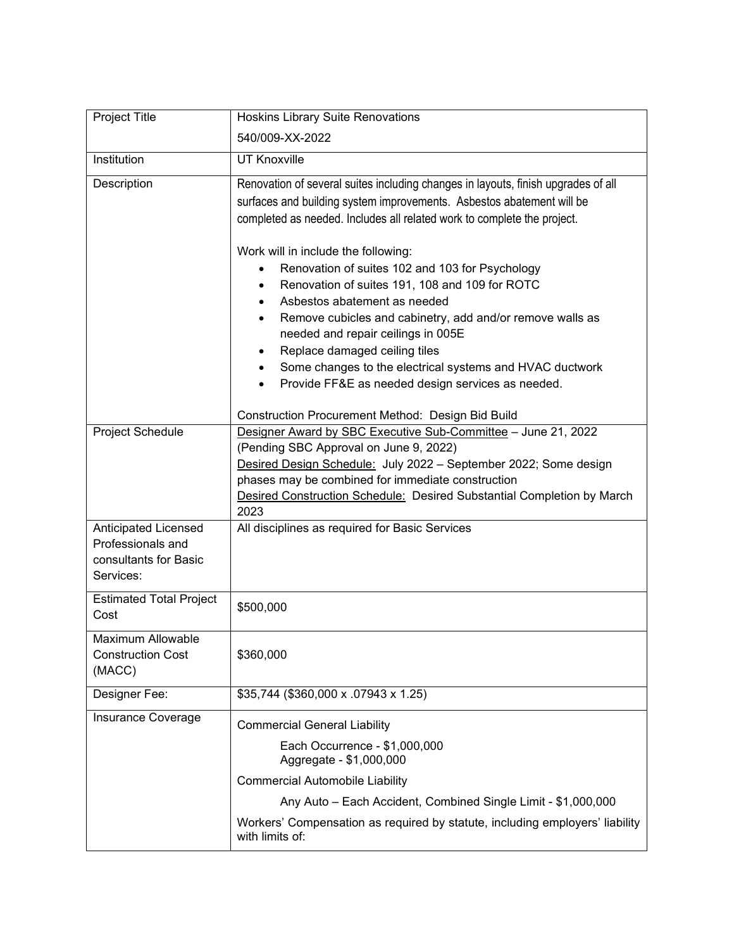| Project Title                                                                          | <b>Hoskins Library Suite Renovations</b>                                                                                                                                                                                                                                                                                                                                                                                                                                                                                                    |
|----------------------------------------------------------------------------------------|---------------------------------------------------------------------------------------------------------------------------------------------------------------------------------------------------------------------------------------------------------------------------------------------------------------------------------------------------------------------------------------------------------------------------------------------------------------------------------------------------------------------------------------------|
|                                                                                        | 540/009-XX-2022                                                                                                                                                                                                                                                                                                                                                                                                                                                                                                                             |
| Institution                                                                            | <b>UT Knoxville</b>                                                                                                                                                                                                                                                                                                                                                                                                                                                                                                                         |
| Description                                                                            | Renovation of several suites including changes in layouts, finish upgrades of all<br>surfaces and building system improvements. Asbestos abatement will be<br>completed as needed. Includes all related work to complete the project.                                                                                                                                                                                                                                                                                                       |
|                                                                                        | Work will in include the following:<br>Renovation of suites 102 and 103 for Psychology<br>Renovation of suites 191, 108 and 109 for ROTC<br>$\bullet$<br>Asbestos abatement as needed<br>$\bullet$<br>Remove cubicles and cabinetry, add and/or remove walls as<br>$\bullet$<br>needed and repair ceilings in 005E<br>Replace damaged ceiling tiles<br>٠<br>Some changes to the electrical systems and HVAC ductwork<br>$\bullet$<br>Provide FF&E as needed design services as needed.<br>Construction Procurement Method: Design Bid Build |
| Project Schedule                                                                       | Designer Award by SBC Executive Sub-Committee - June 21, 2022<br>(Pending SBC Approval on June 9, 2022)<br>Desired Design Schedule: July 2022 - September 2022; Some design<br>phases may be combined for immediate construction<br>Desired Construction Schedule: Desired Substantial Completion by March<br>2023                                                                                                                                                                                                                          |
| <b>Anticipated Licensed</b><br>Professionals and<br>consultants for Basic<br>Services: | All disciplines as required for Basic Services                                                                                                                                                                                                                                                                                                                                                                                                                                                                                              |
| <b>Estimated Total Project</b><br>Cost                                                 | \$500,000                                                                                                                                                                                                                                                                                                                                                                                                                                                                                                                                   |
| Maximum Allowable<br><b>Construction Cost</b><br>(MACC)                                | \$360,000                                                                                                                                                                                                                                                                                                                                                                                                                                                                                                                                   |
| Designer Fee:                                                                          | \$35,744 (\$360,000 x .07943 x 1.25)                                                                                                                                                                                                                                                                                                                                                                                                                                                                                                        |
| Insurance Coverage                                                                     | <b>Commercial General Liability</b><br>Each Occurrence - \$1,000,000<br>Aggregate - \$1,000,000<br><b>Commercial Automobile Liability</b><br>Any Auto - Each Accident, Combined Single Limit - \$1,000,000                                                                                                                                                                                                                                                                                                                                  |
|                                                                                        | Workers' Compensation as required by statute, including employers' liability<br>with limits of:                                                                                                                                                                                                                                                                                                                                                                                                                                             |